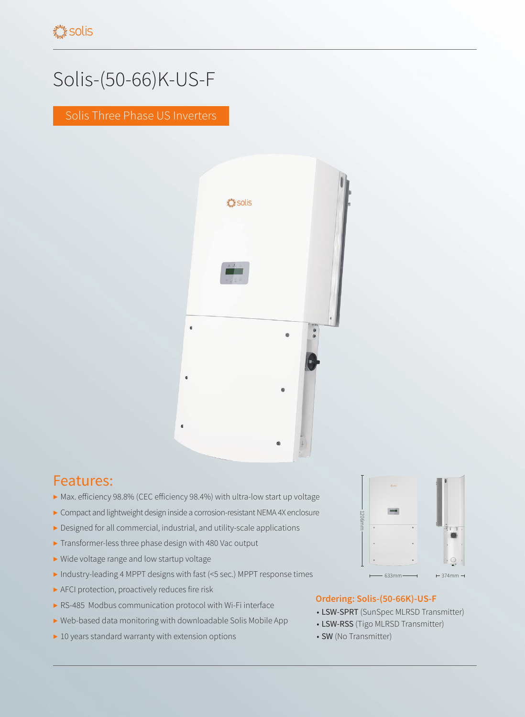## Solis-(50-66)K-US-F

Solis Three Phase US Inverters



## Features:

- ▶ Max. efficiency 98.8% (CEC efficiency 98.4%) with ultra-low start up voltage
- ▶ Compact and lightweight design inside a corrosion-resistant NEMA 4X enclosure
- ▶ Designed for all commercial, industrial, and utility-scale applications
- ▶ Transformer-less three phase design with 480 Vac output
- ▶ Wide voltage range and low startup voltage
- ▶ Industry-leading 4 MPPT designs with fast (<5 sec.) MPPT response times
- ▶ AFCI protection, proactively reduces fire risk
- ▶ RS-485 Modbus communication protocol with Wi-Fi interface
- ▶ Web-based data monitoring with downloadable Solis Mobile App
- ▶ 10 years standard warranty with extension options



## **Ordering: Solis-(50-66K)-US-F**

- LSW-SPRT (SunSpec MLRSD Transmitter)
- LSW-RSS (Tigo MLRSD Transmitter)
- SW (No Transmitter)